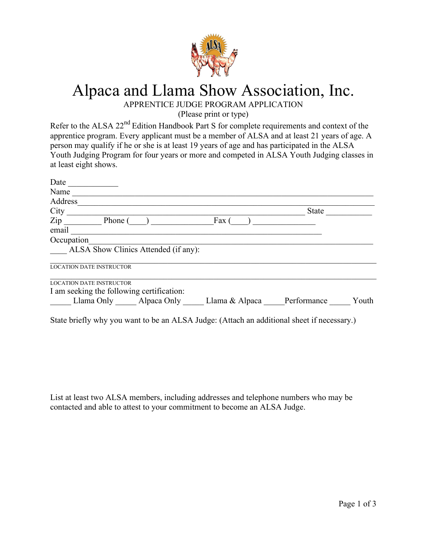

## Alpaca and Llama Show Association, Inc.

APPRENTICE JUDGE PROGRAM APPLICATION

(Please print or type)

Refer to the ALSA 22<sup>nd</sup> Edition Handbook Part S for complete requirements and context of the apprentice program. Every applicant must be a member of ALSA and at least 21 years of age. A person may qualify if he or she is at least 19 years of age and has participated in the ALSA Youth Judging Program for four years or more and competed in ALSA Youth Judging classes in at least eight shows.

| Date                                      |                |              |       |
|-------------------------------------------|----------------|--------------|-------|
| Name                                      |                |              |       |
| Address                                   |                |              |       |
| City                                      |                | <b>State</b> |       |
| Zip<br>Phone (                            | Fax            |              |       |
| email                                     |                |              |       |
| Occupation                                |                |              |       |
| ALSA Show Clinics Attended (if any):      |                |              |       |
| <b>LOCATION DATE INSTRUCTOR</b>           |                |              |       |
| <b>LOCATION DATE INSTRUCTOR</b>           |                |              |       |
| I am seeking the following certification: |                |              |       |
| Llama Only<br>Alpaca Only                 | Llama & Alpaca | Performance  | Youth |

State briefly why you want to be an ALSA Judge: (Attach an additional sheet if necessary.)

List at least two ALSA members, including addresses and telephone numbers who may be contacted and able to attest to your commitment to become an ALSA Judge.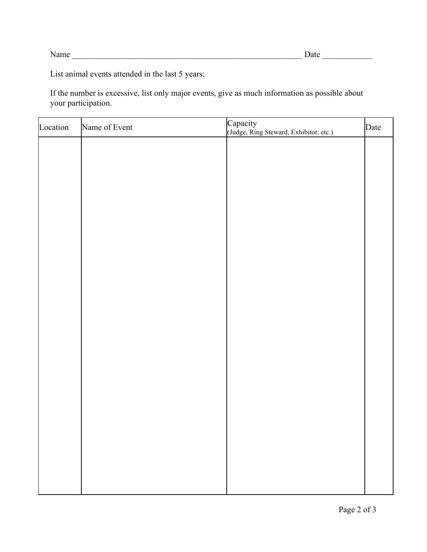List animal events attended in the last 5 years:

If the number is excessive, list only major events, give as much information as possible about your participation.

| Location | Name of Event | Capacity<br>(Judge, Ring Steward, Exhibitor, etc.) | Date |
|----------|---------------|----------------------------------------------------|------|
|          |               |                                                    |      |
|          |               |                                                    |      |
|          |               |                                                    |      |
|          |               |                                                    |      |
|          |               |                                                    |      |
|          |               |                                                    |      |
|          |               |                                                    |      |
|          |               |                                                    |      |
|          |               |                                                    |      |
|          |               |                                                    |      |
|          |               |                                                    |      |
|          |               |                                                    |      |
|          |               |                                                    |      |
|          |               |                                                    |      |
|          |               |                                                    |      |
|          |               |                                                    |      |
|          |               |                                                    |      |
|          |               |                                                    |      |
|          |               |                                                    |      |
|          |               |                                                    |      |